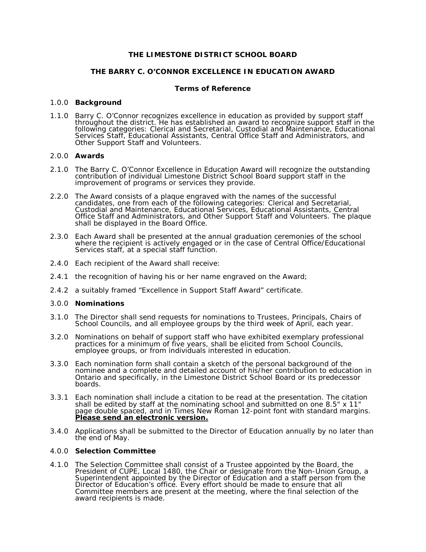# **THE LIMESTONE DISTRICT SCHOOL BOARD**

## **THE BARRY C. O'CONNOR EXCELLENCE IN EDUCATION AWARD**

## **Terms of Reference**

### 1.0.0 **Background**

1.1.0 Barry C. O'Connor recognizes excellence in education as provided by support staff throughout the district. He has established an award to recognize support staff in the following categories: Clerical and Secretarial, Custodial and Maintenance, Educational Services Staff, Educational Assistants, Central Office Staff and Administrators, and Other Support Staff and Volunteers.

## 2.0.0 **Awards**

- 2.1.0 The Barry C. O'Connor Excellence in Education Award will recognize the outstanding contribution of individual Limestone District School Board support staff in the improvement of programs or services they provide.
- 2.2.0 The Award consists of a plaque engraved with the names of the successful candidates, one from each of the following categories: Clerical and Secretarial, Custodial and Maintenance, Educational Services, Educational Assistants, Central Office Staff and Administrators, and Other Support Staff and Volunteers. The plaque shall be displayed in the Board Office.
- 2.3.0 Each Award shall be presented at the annual graduation ceremonies of the school where the recipient is actively engaged or in the case of Central Office/Educational Services staff, at a special staff function.
- 2.4.0 Each recipient of the Award shall receive:
- 2.4.1 the recognition of having his or her name engraved on the Award;
- 2.4.2 a suitably framed "Excellence in Support Staff Award" certificate.

#### 3.0.0 **Nominations**

- 3.1.0 The Director shall send requests for nominations to Trustees, Principals, Chairs of School Councils, and all employee groups by the third week of April, each year.
- 3.2.0 Nominations on behalf of support staff who have exhibited exemplary professional practices for a minimum of five years, shall be elicited from School Councils, employee groups, or from individuals interested in education.
- 3.3.0 Each nomination form shall contain a sketch of the personal background of the nominee and a complete and detailed account of his/her contribution to education in Ontario and specifically, in the Limestone District School Board or its predecessor boards.
- 3.3.1 Each nomination shall include a citation to be read at the presentation. The citation shall be edited by staff at the nominating school and submitted on one 8.5" x 11" page double spaced, and in Times New Roman 12-point font with standard margins. **Please send an electronic version.**
- 3.4.0 Applications shall be submitted to the Director of Education annually by no later than the end of May.

#### 4.0.0 **Selection Committee**

4.1.0 The Selection Committee shall consist of a Trustee appointed by the Board, the President of CUPE, Local 1480, the Chair or designate from the Non-Union Group, a Superintendent appointed by the Director of Education and a staff person from the Director of Education's office. Every effort should be made to ensure that all Committee members are present at the meeting, where the final selection of the award recipients is made.